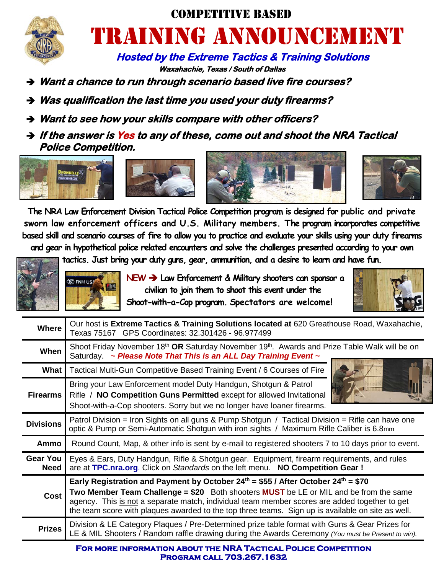

## Competitive Based TIRAINING ANNOUNCEMENT

 **Hosted by the Extreme Tactics & Training Solutions Waxahachie, Texas / South of Dallas** 

- **Want a chance to run through scenario based live fire courses?**
- **Was qualification the last time you used your duty firearms?**
- **Want to see how your skills compare with other officers?**
- **If the answer is Yes to any of these, come out and shoot the NRA Tactical Police Competition.**









**The NRA Law Enforcement Division Tactical Police Competition program is designed for public and private sworn law enforcement officers and U.S. Military members. The program incorporates competitive based skill and scenario courses of fire to allow you to practice and evaluate your skills using your duty firearms and gear in hypothetical police related encounters and solve the challenges presented according to your own** 

**tactics. Just bring your duty guns, gear, ammunition, and a desire to learn and have fun.** 



 **NEW > Law Enforcement & Military shooters can sponsor a civilian to join them to shoot this event under the Shoot-with-a-Cop program. Spectators are welcome!**



| <b>Where</b>                   | Our host is Extreme Tactics & Training Solutions located at 620 Greathouse Road, Waxahachie,<br>Texas 75167 GPS Coordinates: 32.301426 - 96.977499                                                                                                                                                                                                                                                       |  |
|--------------------------------|----------------------------------------------------------------------------------------------------------------------------------------------------------------------------------------------------------------------------------------------------------------------------------------------------------------------------------------------------------------------------------------------------------|--|
| When                           | Shoot Friday November 18 <sup>th</sup> OR Saturday November 19 <sup>th</sup> . Awards and Prize Table Walk will be on<br>Saturday. ~ Please Note That This is an ALL Day Training Event ~                                                                                                                                                                                                                |  |
| What                           | Tactical Multi-Gun Competitive Based Training Event / 6 Courses of Fire                                                                                                                                                                                                                                                                                                                                  |  |
| <b>Firearms</b>                | Bring your Law Enforcement model Duty Handgun, Shotgun & Patrol<br>Rifle / NO Competition Guns Permitted except for allowed Invitational<br>Shoot-with-a-Cop shooters. Sorry but we no longer have loaner firearms.                                                                                                                                                                                      |  |
| <b>Divisions</b>               | Patrol Division = Iron Sights on all guns & Pump Shotgun / Tactical Division = Rifle can have one<br>optic & Pump or Semi-Automatic Shotgun with iron sights / Maximum Rifle Caliber is 6.8mm                                                                                                                                                                                                            |  |
| Ammo                           | Round Count, Map, & other info is sent by e-mail to registered shooters 7 to 10 days prior to event.                                                                                                                                                                                                                                                                                                     |  |
| <b>Gear You</b><br><b>Need</b> | Eyes & Ears, Duty Handgun, Rifle & Shotgun gear. Equipment, firearm requirements, and rules<br>are at TPC.nra.org. Click on Standards on the left menu. NO Competition Gear!                                                                                                                                                                                                                             |  |
| <b>Cost</b>                    | Early Registration and Payment by October 24 <sup>th</sup> = \$55 / After October 24 <sup>th</sup> = \$70<br>Two Member Team Challenge = \$20 Both shooters MUST be LE or MIL and be from the same<br>agency. This is not a separate match, individual team member scores are added together to get<br>the team score with plaques awarded to the top three teams. Sign up is available on site as well. |  |
| <b>Prizes</b>                  | Division & LE Category Plaques / Pre-Determined prize table format with Guns & Gear Prizes for<br>LE & MIL Shooters / Random raffle drawing during the Awards Ceremony (You must be Present to win).                                                                                                                                                                                                     |  |

**For more information about the NRA Tactical Police Competition Program call 703.267.1632**